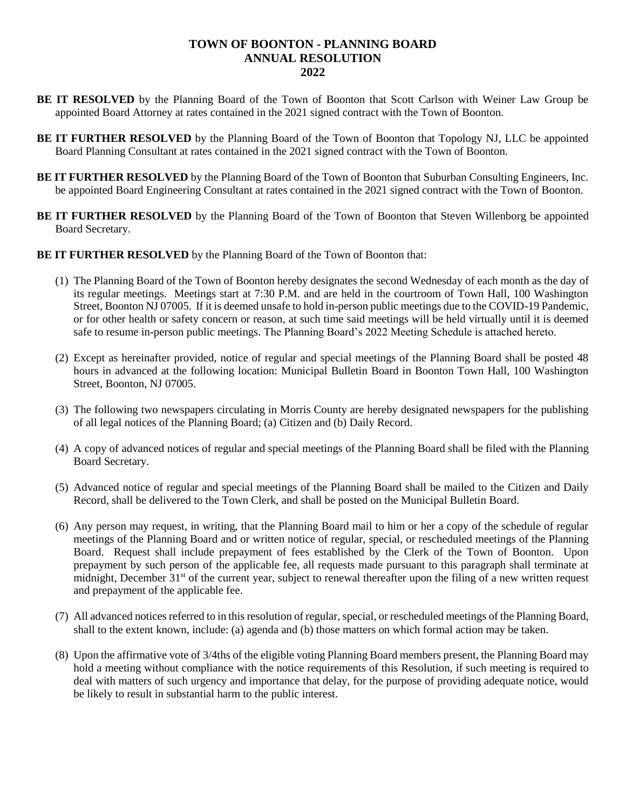## **TOWN OF BOONTON - PLANNING BOARD ANNUAL RESOLUTION 2022**

- **BE IT RESOLVED** by the Planning Board of the Town of Boonton that Scott Carlson with Weiner Law Group be appointed Board Attorney at rates contained in the 2021 signed contract with the Town of Boonton.
- **BE IT FURTHER RESOLVED** by the Planning Board of the Town of Boonton that Topology NJ, LLC be appointed Board Planning Consultant at rates contained in the 2021 signed contract with the Town of Boonton.
- **BE IT FURTHER RESOLVED** by the Planning Board of the Town of Boonton that Suburban Consulting Engineers, Inc. be appointed Board Engineering Consultant at rates contained in the 2021 signed contract with the Town of Boonton.
- **BE IT FURTHER RESOLVED** by the Planning Board of the Town of Boonton that Steven Willenborg be appointed Board Secretary.
- **BE IT FURTHER RESOLVED** by the Planning Board of the Town of Boonton that:
	- (1) The Planning Board of the Town of Boonton hereby designates the second Wednesday of each month as the day of its regular meetings. Meetings start at 7:30 P.M. and are held in the courtroom of Town Hall, 100 Washington Street, Boonton NJ 07005. If it is deemed unsafe to hold in-person public meetings due to the COVID-19 Pandemic, or for other health or safety concern or reason, at such time said meetings will be held virtually until it is deemed safe to resume in-person public meetings. The Planning Board's 2022 Meeting Schedule is attached hereto.
	- (2) Except as hereinafter provided, notice of regular and special meetings of the Planning Board shall be posted 48 hours in advanced at the following location: Municipal Bulletin Board in Boonton Town Hall, 100 Washington Street, Boonton, NJ 07005.
	- (3) The following two newspapers circulating in Morris County are hereby designated newspapers for the publishing of all legal notices of the Planning Board; (a) Citizen and (b) Daily Record.
	- (4) A copy of advanced notices of regular and special meetings of the Planning Board shall be filed with the Planning Board Secretary.
	- (5) Advanced notice of regular and special meetings of the Planning Board shall be mailed to the Citizen and Daily Record, shall be delivered to the Town Clerk, and shall be posted on the Municipal Bulletin Board.
	- (6) Any person may request, in writing, that the Planning Board mail to him or her a copy of the schedule of regular meetings of the Planning Board and or written notice of regular, special, or rescheduled meetings of the Planning Board. Request shall include prepayment of fees established by the Clerk of the Town of Boonton. Upon prepayment by such person of the applicable fee, all requests made pursuant to this paragraph shall terminate at midnight, December 31<sup>st</sup> of the current year, subject to renewal thereafter upon the filing of a new written request and prepayment of the applicable fee.
	- (7) All advanced notices referred to in this resolution of regular, special, or rescheduled meetings of the Planning Board, shall to the extent known, include: (a) agenda and (b) those matters on which formal action may be taken.
	- (8) Upon the affirmative vote of 3/4ths of the eligible voting Planning Board members present, the Planning Board may hold a meeting without compliance with the notice requirements of this Resolution, if such meeting is required to deal with matters of such urgency and importance that delay, for the purpose of providing adequate notice, would be likely to result in substantial harm to the public interest.